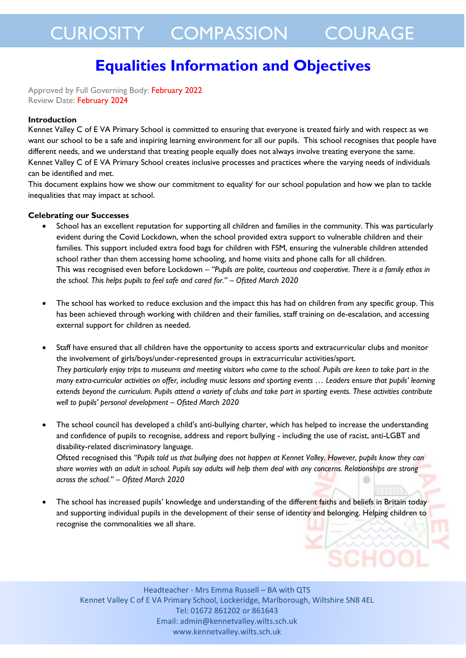# **Equalities Information and Objectives**

Approved by Full Governing Body: February 2022 Review Date: February 2024

#### **Introduction**

Kennet Valley C of E VA Primary School is committed to ensuring that everyone is treated fairly and with respect as we want our school to be a safe and inspiring learning environment for all our pupils. This school recognises that people have different needs, and we understand that treating people equally does not always involve treating everyone the same. Kennet Valley C of E VA Primary School creates inclusive processes and practices where the varying needs of individuals can be identified and met.

This document explains how we show our commitment to equality<sup>i</sup> for our school population and how we plan to tackle inequalities that may impact at school.

#### **Celebrating our Successes**

- School has an excellent reputation for supporting all children and families in the community. This was particularly evident during the Covid Lockdown, when the school provided extra support to vulnerable children and their families. This support included extra food bags for children with FSM, ensuring the vulnerable children attended school rather than them accessing home schooling, and home visits and phone calls for all children. This was recognised even before Lockdown – *"Pupils are polite, courteous and cooperative. There is a family ethos in the school. This helps pupils to feel safe and cared for." – Ofsted March 2020*
- The school has worked to reduce exclusion and the impact this has had on children from any specific group. This has been achieved through working with children and their families, staff training on de-escalation, and accessing external support for children as needed.
- Staff have ensured that all children have the opportunity to access sports and extracurricular clubs and monitor the involvement of girls/boys/under-represented groups in extracurricular activities/sport. *They particularly enjoy trips to museums and meeting visitors who come to the school. Pupils are keen to take part in the many extra-curricular activities on offer, including music lessons and sporting events … Leaders ensure that pupils' learning extends beyond the curriculum. Pupils attend a variety of clubs and take part in sporting events. These activities contribute well to pupils' personal development – Ofsted March 2020*
- The school council has developed a child's anti-bullying charter, which has helped to increase the understanding and confidence of pupils to recognise, address and report bullying - including the use of racist, anti-LGBT and disability-related discriminatory language.

Ofsted recognised this *"Pupils told us that bullying does not happen at Kennet Valley. However, pupils know they can share worries with an adult in school. Pupils say adults will help them deal with any concerns. Relationships are strong across the school." – Ofsted March 2020*

 The school has increased pupils' knowledge and understanding of the different faiths and beliefs in Britain today and supporting individual pupils in the development of their sense of identity and belonging. Helping children to recognise the commonalities we all share.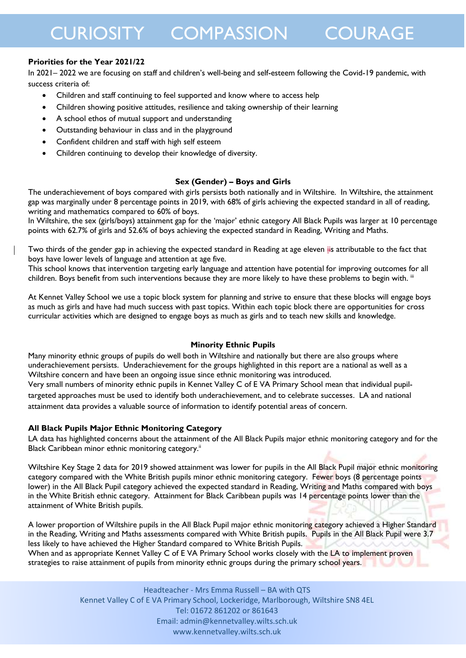### **Priorities for the Year 2021/22**

In 2021– 2022 we are focusing on staff and children's well-being and self-esteem following the Covid-19 pandemic, with success criteria of:

- Children and staff continuing to feel supported and know where to access help
- Children showing positive attitudes, resilience and taking ownership of their learning
- A school ethos of mutual support and understanding
- Outstanding behaviour in class and in the playground
- Confident children and staff with high self esteem
- Children continuing to develop their knowledge of diversity.

### **Sex (Gender) – Boys and Girls**

The underachievement of boys compared with girls persists both nationally and in Wiltshire. In Wiltshire, the attainment gap was marginally under 8 percentage points in 2019, with 68% of girls achieving the expected standard in all of reading, writing and mathematics compared to 60% of boys.

In Wiltshire, the sex (girls/boys) attainment gap for the 'major' ethnic category All Black Pupils was larger at 10 percentage points with 62.7% of girls and 52.6% of boys achieving the expected standard in Reading, Writing and Maths.

Two thirds of the gender gap in achieving the expected standard in Reading at age eleven iis attributable to the fact that boys have lower levels of language and attention at age five.

This school knows that intervention targeting early language and attention have potential for improving outcomes for all children. Boys benefit from such interventions because they are more likely to have these problems to begin with. "I

At Kennet Valley School we use a topic block system for planning and strive to ensure that these blocks will engage boys as much as girls and have had much success with past topics. Within each topic block there are opportunities for cross curricular activities which are designed to engage boys as much as girls and to teach new skills and knowledge.

#### **Minority Ethnic Pupils**

Many minority ethnic groups of pupils do well both in Wiltshire and nationally but there are also groups where underachievement persists. Underachievement for the groups highlighted in this report are a national as well as a Wiltshire concern and have been an ongoing issue since ethnic monitoring was introduced.

Very small numbers of minority ethnic pupils in Kennet Valley C of E VA Primary School mean that individual pupiltargeted approaches must be used to identify both underachievement, and to celebrate successes. LA and national attainment data provides a valuable source of information to identify potential areas of concern.

#### **All Black Pupils Major Ethnic Monitoring Category**

LA data has highlighted concerns about the attainment of the All Black Pupils major ethnic monitoring category and for the Black Caribbean minor ethnic monitoring category.<sup>ii</sup>

Wiltshire Key Stage 2 data for 2019 showed attainment was lower for pupils in the All Black Pupil major ethnic monitoring category compared with the White British pupils minor ethnic monitoring category. Fewer boys (8 percentage points lower) in the All Black Pupil category achieved the expected standard in Reading, Writing and Maths compared with boys in the White British ethnic category. Attainment for Black Caribbean pupils was 14 percentage points lower than the attainment of White British pupils.

A lower proportion of Wiltshire pupils in the All Black Pupil major ethnic monitoring category achieved a Higher Standard in the Reading, Writing and Maths assessments compared with White British pupils. Pupils in the All Black Pupil were 3.7 less likely to have achieved the Higher Standard compared to White British Pupils. When and as appropriate Kennet Valley C of E VA Primary School works closely with the LA to implement proven

strategies to raise attainment of pupils from minority ethnic groups during the primary school years.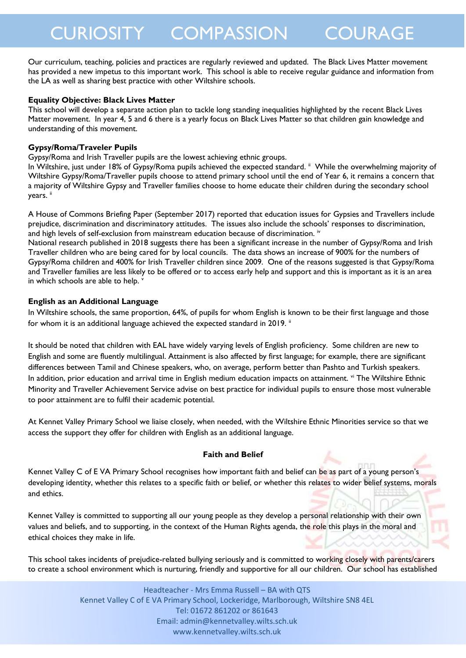Our curriculum, teaching, policies and practices are regularly reviewed and updated. The Black Lives Matter movement has provided a new impetus to this important work. This school is able to receive regular guidance and information from the LA as well as sharing best practice with other Wiltshire schools.

### **Equality Objective: Black Lives Matter**

This school will develop a separate action plan to tackle long standing inequalities highlighted by the recent Black Lives Matter movement. In year 4, 5 and 6 there is a yearly focus on Black Lives Matter so that children gain knowledge and understanding of this movement.

### **Gypsy/Roma/Traveler Pupils**

Gypsy/Roma and Irish Traveller pupils are the lowest achieving ethnic groups.

In Wiltshire, just under 18% of Gypsy/Roma pupils achieved the expected standard. " While the overwhelming majority of Wiltshire Gypsy/Roma/Traveller pupils choose to attend primary school until the end of Year 6, it remains a concern that a majority of Wiltshire Gypsy and Traveller families choose to home educate their children during the secondary school years. ii

A House of Commons Briefing Paper (September 2017) reported that education issues for Gypsies and Travellers include prejudice, discrimination and discriminatory attitudes. The issues also include the schools' responses to discrimination, and high levels of self-exclusion from mainstream education because of discrimination. iv

National research published in 2018 suggests there has been a significant increase in the number of Gypsy/Roma and Irish Traveller children who are being cared for by local councils. The data shows an increase of 900% for the numbers of Gypsy/Roma children and 400% for Irish Traveller children since 2009. One of the reasons suggested is that Gypsy/Roma and Traveller families are less likely to be offered or to access early help and support and this is important as it is an area in which schools are able to help.

# **English as an Additional Language**

In Wiltshire schools, the same proportion, 64%, of pupils for whom English is known to be their first language and those for whom it is an additional language achieved the expected standard in 2019. ii

It should be noted that children with EAL have widely varying levels of English proficiency. Some children are new to English and some are fluently multilingual. Attainment is also affected by first language; for example, there are significant differences between Tamil and Chinese speakers, who, on average, perform better than Pashto and Turkish speakers. In addition, prior education and arrival time in English medium education impacts on attainment. vi The Wiltshire Ethnic Minority and Traveller Achievement Service advise on best practice for individual pupils to ensure those most vulnerable to poor attainment are to fulfil their academic potential.

At Kennet Valley Primary School we liaise closely, when needed, with the Wiltshire Ethnic Minorities service so that we access the support they offer for children with English as an additional language.

# **Faith and Belief**

Kennet Valley C of E VA Primary School recognises how important faith and belief can be as part of a young person's developing identity, whether this relates to a specific faith or belief, or whether this relates to wider belief systems, morals and ethics.

Kennet Valley is committed to supporting all our young people as they develop a personal relationship with their own values and beliefs, and to supporting, in the context of the Human Rights agenda, the role this plays in the moral and ethical choices they make in life.

This school takes incidents of prejudice-related bullying seriously and is committed to working closely with parents/carers to create a school environment which is nurturing, friendly and supportive for all our children. Our school has established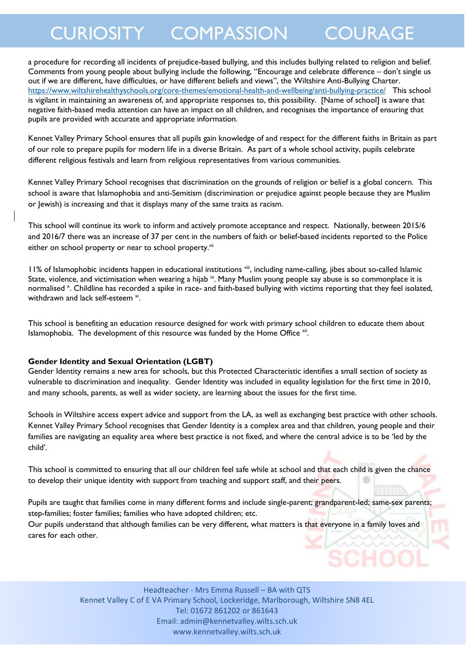a procedure for recording all incidents of prejudice-based bullying, and this includes bullying related to religion and belief. Comments from young people about bullying include the following, "Encourage and celebrate difference – don't single us out if we are different, have difficulties, or have different beliefs and views", the Wiltshire Anti-Bullying Charter. <https://www.wiltshirehealthyschools.org/core-themes/emotional-health-and-wellbeing/anti-bullying-practice/>This school is vigilant in maintaining an awareness of, and appropriate responses to, this possibility. [Name of school] is aware that negative faith-based media attention can have an impact on all children, and recognises the importance of ensuring that pupils are provided with accurate and appropriate information.

Kennet Valley Primary School ensures that all pupils gain knowledge of and respect for the different faiths in Britain as part of our role to prepare pupils for modern life in a diverse Britain. As part of a whole school activity, pupils celebrate different religious festivals and learn from religious representatives from various communities.

Kennet Valley Primary School recognises that discrimination on the grounds of religion or belief is a global concern. This school is aware that Islamophobia and anti-Semitism (discrimination or prejudice against people because they are Muslim or Jewish) is increasing and that it displays many of the same traits as racism.

This school will continue its work to inform and actively promote acceptance and respect. Nationally, between 2015/6 and 2016/7 there was an increase of 37 per cent in the numbers of faith or belief-based incidents reported to the Police either on school property or near to school property.<sup>vii</sup>

11% of Islamophobic incidents happen in educational institutions viii, including name-calling, jibes about so-called Islamic State, violence, and victimisation when wearing a hijab <sup>ix</sup>. Many Muslim young people say abuse is so commonplace it is normalised<sup>x</sup>. Childline has recorded a spike in race- and faith-based bullying with victims reporting that they feel isolated, withdrawn and lack self-esteem<sup>xi</sup>.

This school is benefiting an education resource designed for work with primary school children to educate them about Islamophobia. The development of this resource was funded by the Home Office xii.

#### **Gender Identity and Sexual Orientation (LGBT)**

Gender Identity remains a new area for schools, but this Protected Characteristic identifies a small section of society as vulnerable to discrimination and inequality. Gender Identity was included in equality legislation for the first time in 2010, and many schools, parents, as well as wider society, are learning about the issues for the first time.

Schools in Wiltshire access expert advice and support from the LA, as well as exchanging best practice with other schools. Kennet Valley Primary School recognises that Gender Identity is a complex area and that children, young people and their families are navigating an equality area where best practice is not fixed, and where the central advice is to be 'led by the child'.

This school is committed to ensuring that all our children feel safe while at school and that each child is given the chance to develop their unique identity with support from teaching and support staff, and their peers.

Pupils are taught that families come in many different forms and include single-parent; grandparent-led; same-sex parents; step-families; foster families; families who have adopted children; etc.

Our pupils understand that although families can be very different, what matters is that everyone in a family loves and cares for each other.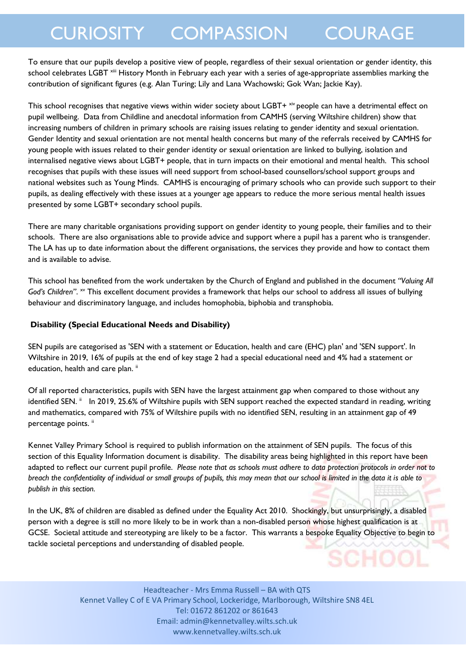To ensure that our pupils develop a positive view of people, regardless of their sexual orientation or gender identity, this school celebrates LGBT<sup> xiii</sup> History Month in February each year with a series of age-appropriate assemblies marking the contribution of significant figures (e.g. Alan Turing; Lily and Lana Wachowski; Gok Wan; Jackie Kay).

This school recognises that negative views within wider society about LGBT+  $x^N$  people can have a detrimental effect on pupil wellbeing. Data from Childline and anecdotal information from CAMHS (serving Wiltshire children) show that increasing numbers of children in primary schools are raising issues relating to gender identity and sexual orientation. Gender Identity and sexual orientation are not mental health concerns but many of the referrals received by CAMHS for young people with issues related to their gender identity or sexual orientation are linked to bullying, isolation and internalised negative views about LGBT+ people, that in turn impacts on their emotional and mental health. This school recognises that pupils with these issues will need support from school-based counsellors/school support groups and national websites such as Young Minds. CAMHS is encouraging of primary schools who can provide such support to their pupils, as dealing effectively with these issues at a younger age appears to reduce the more serious mental health issues presented by some LGBT+ secondary school pupils.

There are many charitable organisations providing support on gender identity to young people, their families and to their schools. There are also organisations able to provide advice and support where a pupil has a parent who is transgender. The LA has up to date information about the different organisations, the services they provide and how to contact them and is available to advise.

This school has benefited from the work undertaken by the Church of England and published in the document *"Valuing All*  God's Children". <sup>xv</sup> This excellent document provides a framework that helps our school to address all issues of bullying behaviour and discriminatory language, and includes homophobia, biphobia and transphobia.

### **Disability (Special Educational Needs and Disability)**

SEN pupils are categorised as 'SEN with a statement or Education, health and care (EHC) plan' and 'SEN support'. In Wiltshire in 2019, 16% of pupils at the end of key stage 2 had a special educational need and 4% had a statement or education, health and care plan. ii

Of all reported characteristics, pupils with SEN have the largest attainment gap when compared to those without any identified SEN.<sup>ii</sup> In 2019, 25.6% of Wiltshire pupils with SEN support reached the expected standard in reading, writing and mathematics, compared with 75% of Wiltshire pupils with no identified SEN, resulting in an attainment gap of 49 percentage points. ii

Kennet Valley Primary School is required to publish information on the attainment of SEN pupils. The focus of this section of this Equality Information document is disability. The disability areas being highlighted in this report have been adapted to reflect our current pupil profile. *Please note that as schools must adhere to data protection protocols in order not to breach the confidentiality of individual or small groups of pupils, this may mean that our school is limited in the data it is able to publish in this section.*

In the UK, 8% of children are disabled as defined under the Equality Act 2010. Shockingly, but unsurprisingly, a disabled person with a degree is still no more likely to be in work than a non-disabled person whose highest qualification is at GCSE. Societal attitude and stereotyping are likely to be a factor. This warrants a bespoke Equality Objective to begin to tackle societal perceptions and understanding of disabled people.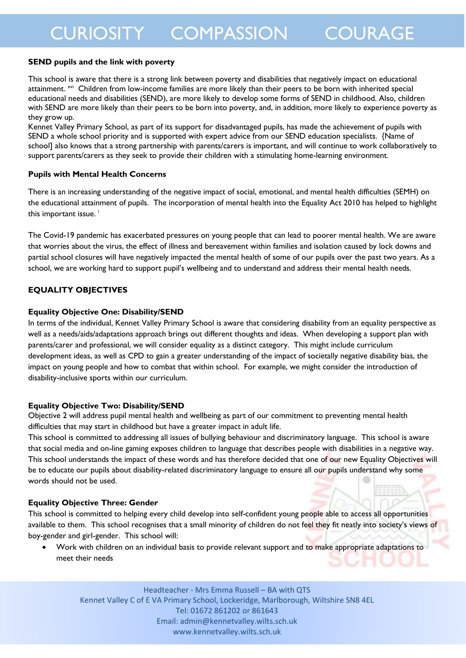#### **SEND pupils and the link with poverty**

This school is aware that there is a strong link between poverty and disabilities that negatively impact on educational attainment. <sup>xvi</sup> Children from low-income families are more likely than their peers to be born with inherited special educational needs and disabilities (SEND), are more likely to develop some forms of SEND in childhood. Also, children with SEND are more likely than their peers to be born into poverty, and, in addition, more likely to experience poverty as they grow up.

Kennet Valley Primary School, as part of its support for disadvantaged pupils, has made the achievement of pupils with SEND a whole school priority and is supported with expert advice from our SEND education specialists. {Name of school] also knows that a strong partnership with parents/carers is important, and will continue to work collaboratively to support parents/carers as they seek to provide their children with a stimulating home-learning environment.

### **Pupils with Mental Health Concerns**

There is an increasing understanding of the negative impact of social, emotional, and mental health difficulties (SEMH) on the educational attainment of pupils. The incorporation of mental health into the Equality Act 2010 has helped to highlight this important issue.<sup>i</sup>

The Covid-19 pandemic has exacerbated pressures on young people that can lead to poorer mental health. We are aware that worries about the virus, the effect of illness and bereavement within families and isolation caused by lock downs and partial school closures will have negatively impacted the mental health of some of our pupils over the past two years. As a school, we are working hard to support pupil's wellbeing and to understand and address their mental health needs.

# **EQUALITY OBJECTIVES**

### **Equality Objective One: Disability/SEND**

In terms of the individual, Kennet Valley Primary School is aware that considering disability from an equality perspective as well as a needs/aids/adaptations approach brings out different thoughts and ideas. When developing a support plan with parents/carer and professional, we will consider equality as a distinct category. This might include curriculum development ideas, as well as CPD to gain a greater understanding of the impact of societally negative disability bias, the impact on young people and how to combat that within school. For example, we might consider the introduction of disability-inclusive sports within our curriculum.

# **Equality Objective Two: Disability/SEND**

Objective 2 will address pupil mental health and wellbeing as part of our commitment to preventing mental health difficulties that may start in childhood but have a greater impact in adult life.

This school is committed to addressing all issues of bullying behaviour and discriminatory language. This school is aware that social media and on-line gaming exposes children to language that describes people with disabilities in a negative way. This school understands the impact of these words and has therefore decided that one of our new Equality Objectives will be to educate our pupils about disability-related discriminatory language to ensure all our pupils understand why some words should not be used.

# **Equality Objective Three: Gender**

This school is committed to helping every child develop into self-confident young people able to access all opportunities available to them. This school recognises that a small minority of children do not feel they fit neatly into society's views of boy-gender and girl-gender. This school will:

Work with children on an individual basis to provide relevant support and to make appropriate adaptations to meet their needs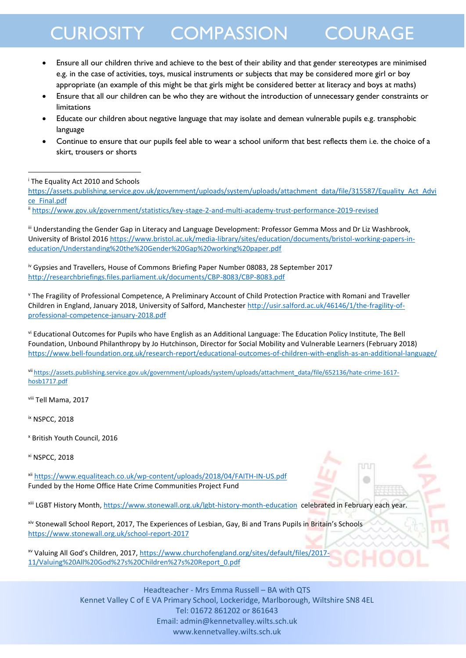- Ensure all our children thrive and achieve to the best of their ability and that gender stereotypes are minimised e.g. in the case of activities, toys, musical instruments or subjects that may be considered more girl or boy appropriate (an example of this might be that girls might be considered better at literacy and boys at maths)
- Ensure that all our children can be who they are without the introduction of unnecessary gender constraints or limitations
- Educate our children about negative language that may isolate and demean vulnerable pupils e.g. transphobic language
- Continue to ensure that our pupils feel able to wear a school uniform that best reflects them i.e. the choice of a skirt, trousers or shorts

<sup>i</sup> The Equality Act 2010 and Schools -

[https://assets.publishing.service.gov.uk/government/uploads/system/uploads/attachment\\_data/file/315587/Equality\\_Act\\_Advi](https://assets.publishing.service.gov.uk/government/uploads/system/uploads/attachment_data/file/315587/Equality_Act_Advice_Final.pdf) [ce\\_Final.pdf](https://assets.publishing.service.gov.uk/government/uploads/system/uploads/attachment_data/file/315587/Equality_Act_Advice_Final.pdf)

ii <https://www.gov.uk/government/statistics/key-stage-2-and-multi-academy-trust-performance-2019-revised>

iii Understanding the Gender Gap in Literacy and Language Development: Professor Gemma Moss and Dr Liz Washbrook, University of Bristol 201[6 https://www.bristol.ac.uk/media-library/sites/education/documents/bristol-working-papers-in](https://www.bristol.ac.uk/media-library/sites/education/documents/bristol-working-papers-in-education/Understanding%20the%20Gender%20Gap%20working%20paper.pdf)[education/Understanding%20the%20Gender%20Gap%20working%20paper.pdf](https://www.bristol.ac.uk/media-library/sites/education/documents/bristol-working-papers-in-education/Understanding%20the%20Gender%20Gap%20working%20paper.pdf)

iv Gypsies and Travellers, House of Commons Briefing Paper Number 08083, 28 September 2017 <http://researchbriefings.files.parliament.uk/documents/CBP-8083/CBP-8083.pdf>

<sup>v</sup> The Fragility of Professional Competence, A Preliminary Account of Child Protection Practice with Romani and Traveller Children in England, January 2018, University of Salford, Manchester [http://usir.salford.ac.uk/46146/1/the-fragility-of](http://usir.salford.ac.uk/46146/1/the-fragility-of-professional-competence-january-2018.pdf)[professional-competence-january-2018.pdf](http://usir.salford.ac.uk/46146/1/the-fragility-of-professional-competence-january-2018.pdf)

vi Educational Outcomes for Pupils who have English as an Additional Language: The Education Policy Institute, The Bell Foundation, Unbound Philanthropy by Jo Hutchinson, Director for Social Mobility and Vulnerable Learners (February 2018) <https://www.bell-foundation.org.uk/research-report/educational-outcomes-of-children-with-english-as-an-additional-language/>

vii [https://assets.publishing.service.gov.uk/government/uploads/system/uploads/attachment\\_data/file/652136/hate-crime-1617](https://assets.publishing.service.gov.uk/government/uploads/system/uploads/attachment_data/file/652136/hate-crime-1617-hosb1717.pdf) [hosb1717.pdf](https://assets.publishing.service.gov.uk/government/uploads/system/uploads/attachment_data/file/652136/hate-crime-1617-hosb1717.pdf)

viii Tell Mama, 2017

ix NSPCC, 2018

<sup>x</sup> British Youth Council, 2016

xi NSPCC, 2018

xii <https://www.equaliteach.co.uk/wp-content/uploads/2018/04/FAITH-IN-US.pdf> Funded by the Home Office Hate Crime Communities Project Fund

xiii LGBT History Month[, https://www.stonewall.org.uk/lgbt-history-month-education](https://www.stonewall.org.uk/lgbt-history-month-education) celebrated in February each year.

nnu

xiv Stonewall School Report, 2017, The Experiences of Lesbian, Gay, Bi and Trans Pupils in Britain's Schools <https://www.stonewall.org.uk/school-report-2017>

xv Valuing All God's Children, 2017, [https://www.churchofengland.org/sites/default/files/2017-](https://www.churchofengland.org/sites/default/files/2017-11/Valuing%20All%20God%27s%20Children%27s%20Report_0.pdf) [11/Valuing%20All%20God%27s%20Children%27s%20Report\\_0.pdf](https://www.churchofengland.org/sites/default/files/2017-11/Valuing%20All%20God%27s%20Children%27s%20Report_0.pdf)